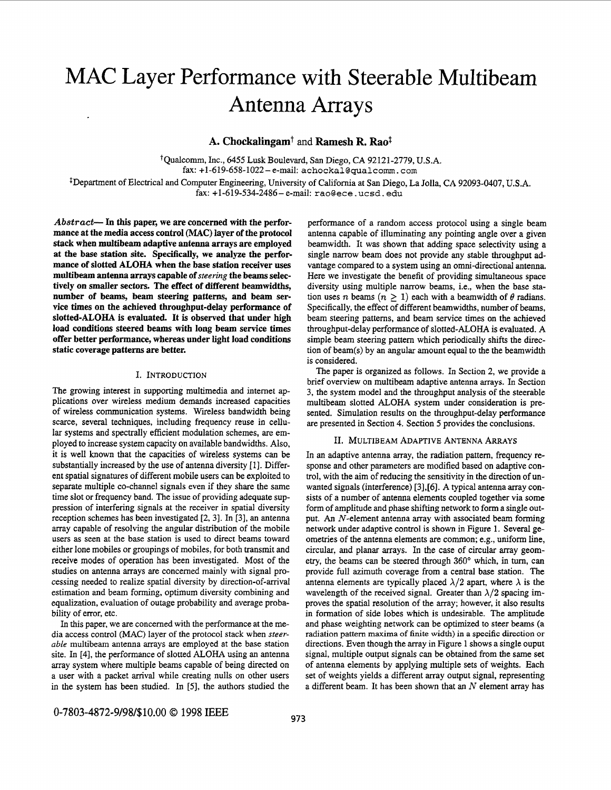# MAC Layer Performance with Steerable Multibeam Antenna Arrays

**A. Chockalingamt** and **Ramesh R. Rao\$** 

tQualcomm, Inc., 6455 Lusk Boulevard, San Diego, CA 92121-2779, U.S.A.

fax: +1-619-658-1022- e-mail: **achockal@qualcomm. com** 

<sup>‡</sup>Department of Electrical and Computer Engineering, University of California at San Diego, La Jolla, CA 92093-0407, U.S.A. fax: +1-619-534-2486- e-mail: **rao@ece** - **ucsd. eau** 

*Abstract-* **In this paper, we are concerned with the performance at the media access control (MAC) layer of the protocol stack when multibeam adaptive antenna arrays are employed at the base station site. Specifically, we analyze the performance of slotted ALOHA when the base station receiver uses multibeam antenna arrays capable of** *steering* **the beams selectively on smaller sectors. The effect of different beamwidths, number of beams, beam steering patterns, and beam service times on the achieved throughput-delay performance of slotted-ALOHA is evaluated. It is observed that under high load conditions steered beams with long beam service times offer better performance, whereas under light load conditions static coverage patterns are better.** 

# I. INTRODUCTION

The growing interest in supporting multimedia and internet applications over wireless medium demands increased capacities of wireless communication systems. Wireless bandwidth being scarce, several techniques, including frequency reuse in cellular systems and spectrally efficient modulation schemes, are employed to increase system capacity on available bandwidths. **Also,**  it is well known that the capacities of wireless systems can be substantially increased by the use of antenna diversity [1]. Different spatial signatures of different mobile users can be exploited to separate multiple co-channel signals even if they share the same time slot or frequency band. The issue of providing adequate suppression of interfering signals at the receiver in spatial diversity reception schemes has been investigated [2,3]. In [3], an antenna array capable of resolving the angular distribution of the mobile users as seen at the base station is used to direct beams toward either lone mobiles or groupings of mobiles, for both transmit and receive modes of operation has been investigated. Most of the studies on antenna arrays are concerned mainly with signal processing needed to realize spatial diversity by direction-of-arrival estimation and beam forming, optimum diversity combining and equalization, evaluation of outage probability and average probability of error, etc.

In this paper, we are concerned with the performance at the media access control (MAC) layer of the protocol stack when *steerable* multibeam antenna arrays are employed at the base station site. In [4], the performance of slotted ALOHA using an antenna array system where multiple beams capable of being directed on a user with a packet arrival while creating nulls on other users in the system has been studied. In [5], the authors studied the

performance of a random access protocol using a single beam antenna capable of illuminating any pointing angle over a given beamwidth. It was shown that adding space selectivity using a single narrow beam does not provide any stable throughput advantage compared to a system using an omni-directional antenna. Here we investigate the benefit of providing simultaneous space diversity using multiple narrow beams, i.e., when the base station uses *n* beams  $(n \geq 1)$  each with a beamwidth of  $\theta$  radians. Specifically, the effect of different beamwidths, number of beams, beam steering patterns, and beam service times on the achieved throughput-delay performance of slotted-ALOHA is evaluated. **A**  simple beam steering pattern which periodically shifts the direction of beam(s) by **an** angular amount equal to the the beamwidth is considered.

The paper is organized as follows. In Section 2, we provide a brief overview on multibeam adaptive antenna arrays. In Section 3, the system model and the throughput analysis of the steerable multibeam slotted ALOHA system under consideration is presented. Simulation results on the throughput-delay performance are presented in Section 4. Section 5 provides the conclusions.

## 11. MULTIBEAM ADAPTIVE ANTENNA ARRAYS

In an adaptive antenna array, the radiation pattem, frequency response and other parameters are modified based on adaptive control, with the aim of reducing the sensitivity in the direction of **un**wanted signals (interference) [3],[6]. A typical antenna array consists of a number of antenna elements coupled together via some form of amplitude and phase shifting network to form a single output. *An* N-element antenna array with associated beam forming network under adaptive control is shown in [Figure 1.](#page-1-0) Several geometries of the antenna elements are common; e.g., uniform line, circular, and planar arrays. In the case of circular array geometry, the beams can be steered through **360"** which, in **turn,** can provide full azimuth coverage from a central base station. The antenna elements are typically placed  $\lambda/2$  apart, where  $\lambda$  is the wavelength of the received signal. Greater than  $\lambda/2$  spacing improves the spatial resolution of the array; however, it also results in formation of side lobes which is undesirable. The amplitude and phase weighting network can be optimized to steer beams (a radiation **pattem maxima of finite width) in a specific direction** or directions. Even though the array in [Figure 1](#page-1-0) shows a single ouput signal, multiple output signals can be obtained from the same set of antenna elements by applying multiple sets of weights. Each set of weights yields a different array output signal, representing a different beam. It has been shown that an  $N$  element array has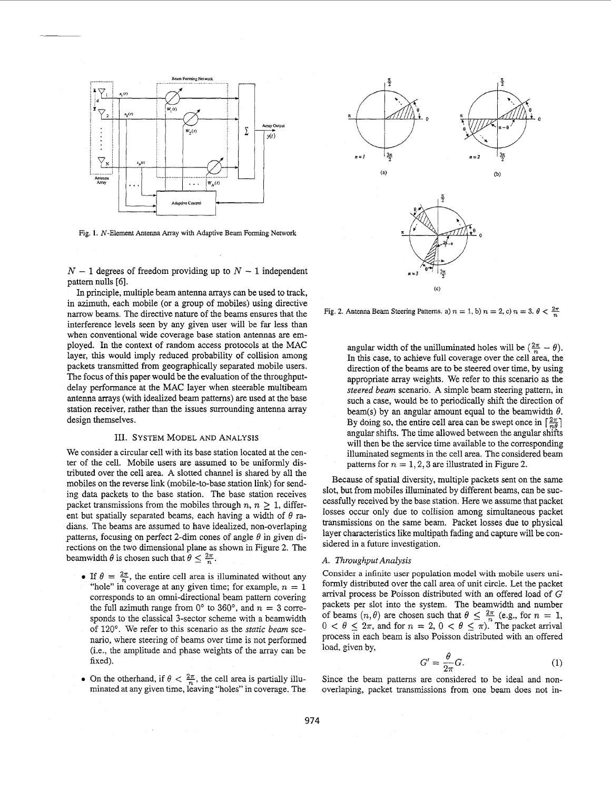<span id="page-1-0"></span>

**Fig. 1. N-Element Antenna Array with Adaptive** Beam **Forming Network** 

 $N-1$  degrees of freedom providing up to  $N-1$  independent pattern nulls *[6].* 

In principle, multiple beam antenna arrays can be used to track, in azimuth, each mobile (or a group of mobiles) using directive narrow beams. The directive nature of the beams ensures that the interference levels seen by any given user will be far less than when conventional wide coverage base station antennas are employed. In the context of random access protocols at the MAC layer, this would imply reduced probability of collision among packets transmitted from geographically separated mobile users. The focus of this paper would be the evaluation of the throughputdelay performance at the MAC layer when steerable multibeam antenna arrays (with idealized beam patterns) are used at the base station receiver, rather than the issues surrounding antenna array design themselves.

#### 111. **SYSTEM MODEL AND ANALYSIS**

We consider a circular cell with its base station located at the center of the cell. Mobile users are assumed to be uniformly distributed over the cell area. **A** slotted channel is shared by all the mobiles on the reverse link (mobile-to-base station link) for sending data packets to the base station. The base station receives packet transmissions from the mobiles through  $n, n \geq 1$ , different but spatially separated beams, each having a width of  $\theta$  radians. The beams are assumed to have idealized, non-overlaping patterns, focusing on perfect 2-dim cones of angle  $\theta$  in given directions on the two dimensional plane as shown in Figure *2.* The beamwidth  $\theta$  is chosen such that  $\theta \leq \frac{2\pi}{n}$ .

- If  $\theta = \frac{2\pi}{n}$ , the entire cell area is illuminated without any "hole" in coverage at any given time; for example,  $n = 1$ corresponds to an omni-directional beam pattern covering the full azimuth range from  $0^{\circ}$  to  $360^{\circ}$ , and  $n = 3$  corresponds to the classical 3-sector scheme with a beamwidth of 120". We refer to this scenario as the *static beam* scenario, where steering of beams over time is not performed (i.e., the amplitude and phase weights of the array can be fixed).
- On the otherhand, if  $\theta < \frac{2\pi}{n}$ , the cell area is partially illuminated at any given time, leaving "holes" in coverage. The



**Fig. 2. Antenna Beam Steering Patterns. a)**  $n = 1$ **, b)**  $n = 2$ **, c)**  $n = 3$ **.**  $\theta < \frac{2\pi}{n}$ 

angular width of the unilluminated holes will be  $(\frac{2\pi}{n} - \theta)$ . In this case, to achieve full coverage over the cell area, the direction of the beams are to be steered over time, by using appropriate array weights. We refer to this scenario as the *steered beam* scenario. **A** simple beam steering pattern, in such a case, would be to periodically shift the direction of beam(s) by an angular amount equal to the beamwidth  $\theta$ . By doing so, the entire cell area can be swept once in  $\left[\frac{2\pi}{n\theta}\right]$ angular shifts. The time allowed between the angular shifts will then be the service time available to the corresponding illuminated segments in the cell area. The considered beam patterns for  $n = 1, 2, 3$  are illustrated in Figure 2.

Because of spatial diversity, multiple packets sent on the same slot, but from mobiles illuminated by different beams, can be successfully received by the base station. Here we assume that packet losses occur only due to collision among simultaneous packet transmissions on the same beam. Packet losses due to physical layer characteristics like multipath fading and capture will be considered in a future investigation.

#### **A.** *Throughput Analysis*

Consider a infinite user population **model** with mobile **users uni**formly distributed over the call area of unit circle. Let the packet arrival process be Poisson distributed with an offered load of G packets per slot into the system. The beamwidth and number of beams  $(n, \theta)$  are chosen such that  $\theta \leq \frac{2\pi}{n}$  (e.g., for  $n = 1$ ,  $0 < \theta \leq 2\pi$ , and for  $n = 2$ ,  $0 < \theta \leq \pi$ ). The packet arrival process in each beam is also Poisson distributed with an offered load, given by,

$$
G' = \frac{\theta}{2\pi}G.
$$
 (1)

Since the beam patterns are considered to be ideal and nonoverlaping, packet transmissions from one beam does not in-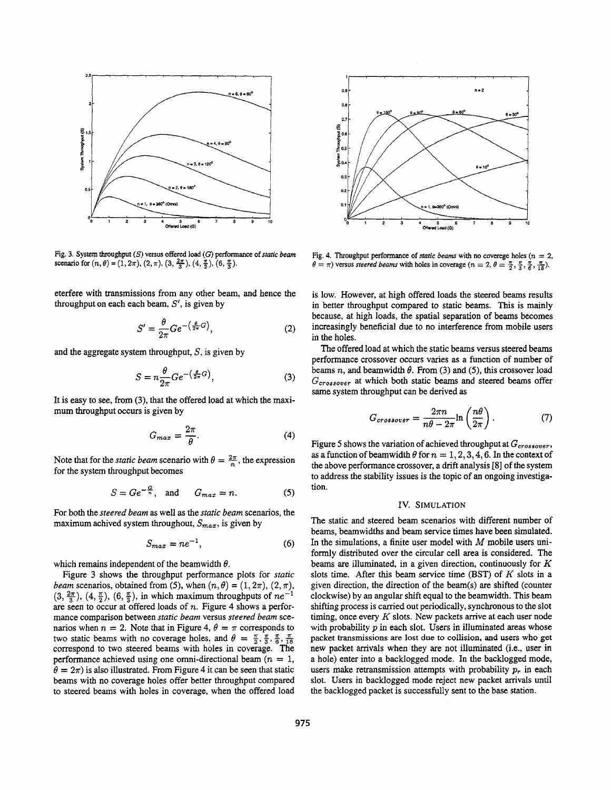<span id="page-2-0"></span>

**Fig. 3. System throughput** (S) **versus offered load (G) performance of** *static beam*  scenario for  $(n, \theta) = (1, 2\pi), (2, \pi), (3, \frac{2\pi}{3}), (4, \frac{\pi}{2}), (6, \frac{\pi}{3}).$ 

eterfere with transmissions from any other beam, and hence the throughput on each each beam,  $S'$ , is given by

$$
S' = \frac{\theta}{2\pi} Ge^{-\left(\frac{\theta}{2\pi}G\right)},\tag{2}
$$

and the aggregate system throughput,  $S$ , is given by

$$
S = n \frac{\theta}{2\pi} G e^{-\left(\frac{\theta}{2\pi}G\right)},\tag{3}
$$

It is easy to see, from **(3),** that the offered load at which the maximum throughput occurs is given by

$$
G_{max} = \frac{2\pi}{\theta}.
$$
 (4)

Note that for the *static beam* scenario with  $\theta = \frac{2\pi}{n}$ , the expression for the system throughput becomes

$$
S = Ge^{-\frac{\omega}{n}}, \quad \text{and} \qquad G_{max} = n. \tag{5}
$$

For both the *steered beam* as well as the *static beam* scenarios, the maximum achived system throughout,  $S_{max}$ , is given by

$$
S_{max} = ne^{-1},\tag{6}
$$

which remains independent of the beamwidth *8.* 

Figure **3** shows the throughput performance plots for *static beam* scenarios, obtained from (5), when  $(n, \theta) = (1, 2\pi), (2, \pi)$ ,  $(3, \frac{2\pi}{3}), (4, \frac{\pi}{2}), (6, \frac{\pi}{3}),$  in which maximum throughputs of  $ne^{-1}$ are seen to occur at offered loads of *n.* Figure 4 shows a performance comparison between *static beam* versus *steered beam* scenarios when  $n = 2$ . Note that in Figure 4,  $\theta = \pi$  corresponds to two static beams with no coverage holes, and  $\theta = \frac{\pi}{2}, \frac{\pi}{3}, \frac{\pi}{6}, \frac{\pi}{18}$ correspond to two steered beams with holes in coverage. The performance achieved using one omni-directional beam  $(n = 1,$  $\theta = 2\pi$ ) is also illustrated. From Figure 4 it can be seen that static beams with no coverage holes offer better throughput compared to steered beams with holes in coverage, when the offered load



Fig. 4. Throughput performance of *static beams* with no coverege holes  $(n = 2,$  $\theta = \pi$ ) versus *steered beams* with holes in coverage  $(n = 2, \theta = \frac{\pi}{2}, \frac{\pi}{3}, \frac{\pi}{6}, \frac{\pi}{18})$ .

is low. However, at high offered loads the steered beams results in better throughput compared to static beams. This is mainly because, at high loads, the spatial separation of beams becomes increasingly beneficial due to no interference from mobile users in the holes.

The offered load at which the static beams versus steered beams performance crossover occurs varies as a function of number of beams *n*, and beamwidth  $\theta$ . From (3) and (5), this crossover load G<sub>crossover</sub> at which both static beams and steered beams offer same system throughput can be derived as

$$
G_{crossover} = \frac{2\pi n}{n\theta - 2\pi} \ln\left(\frac{n\theta}{2\pi}\right). \tag{7}
$$

Figure 5 shows the variation of achieved throughput at  $G_{crossover}$ , as a function of beamwidth  $\theta$  for  $n = 1, 2, 3, 4, 6$ . In the context of the above performance crossover, a **drift** analysis **[8]** of the system to address the stability issues **is** the topic of an ongoing investigation.

## IV. **SIMULATION**

The static and steered beam scenarios with different number of beams, beamwidths and beam service times have been simulated. In the simulations, a finite user model with *M* mobile users uniformly distributed over the circular cell area is considered. The beams are illuminated, in a given direction, continuously for *K*  slots time. After this beam service time (BST) of *K* slots in a given direction, the direction of the beam(s) are shifted (counter clockwise) by an angular shift equal to the beamwidth. This beam shifting process is carried out periodically, synchronous to the slot timing, once every *K* slots. New packets arrive at each user node with probability *p* in each slot. Users in illuminated areas whose packet **transmissions are lost due to collision, and users who get**  new packet arrivals when they are not illuminated (i.e., user in a hole) enter into a backlogged mode. In the backlogged mode, users make retransmission attempts with probability  $p<sub>r</sub>$  in each slot. Users in backlogged mode reject new packet arrivals until the backlogged packet is successfully sent to the base station.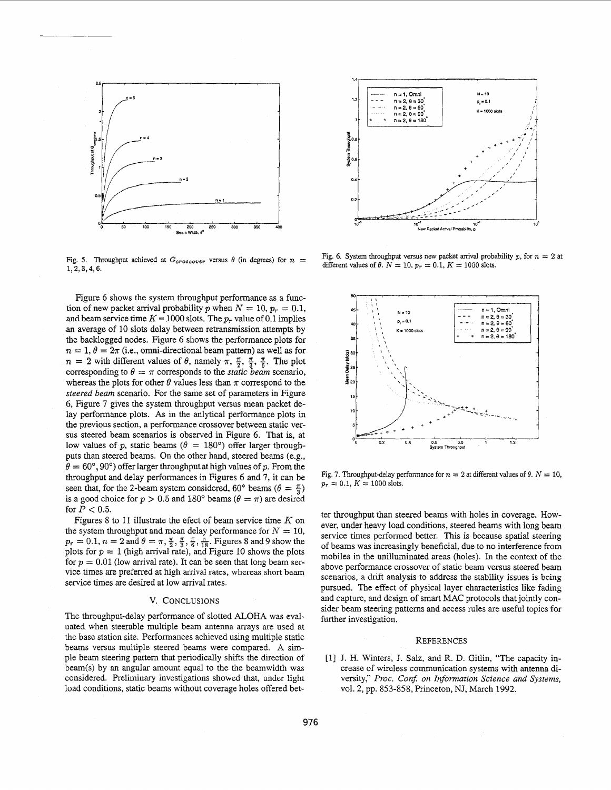

**[Fig.](#page-2-0)** 5. Throughput achieved at  $G_{crossover}$  versus  $\theta$  (in degrees) for  $n =$ **1,2,3,4,6.** 

Figure 6 shows the system throughput performance as a function of new packet arrival probability *p* when  $N = 10$ ,  $p_r = 0.1$ , and beam service time  $K = 1000$  slots. The  $p<sub>r</sub>$  value of 0.1 implies an average of 10 slots delay between retransmission attempts by the backlogged nodes. Figure 6 shows the performance plots for  $n = 1, \theta = 2\pi$  (i.e., omni-directional beam pattern) as well as for  $n=2$  with different values of  $\theta$ , namely  $\pi$ ,  $\frac{\pi}{2}$ ,  $\frac{\pi}{3}$ ,  $\frac{\pi}{6}$ . The plot corresponding to  $\theta = \pi$  corresponds to the *static beam* scenario, whereas the plots for other  $\theta$  values less than  $\pi$  correspond to the *steered beam* scenario. For the same set of parameters in Figure 6, Figure 7 gives the system throughput versus mean packet delay performance plots. **As** in the anlytical performance plots in the previous section, a performance crossover between static versus steered beam scenarios is observed in Figure 6. That is, at low values of *p*, static beams ( $\theta = 180^{\circ}$ ) offer larger throughputs than steered beams. On the other hand, steered beams (e.g.,  $\theta = 60^{\circ}$ , 90°) offer larger throughput at high values of p. From the throughput and delay performances in Figures 6 and 7, it can be seen that, for the 2-beam system considered, 60° beams ( $\theta = \frac{\pi}{3}$ ) is a good choice for  $p > 0.5$  and 180° beams ( $\theta = \pi$ ) are desired for  $P < 0.5$ .

Figures 8 to 11 illustrate the efect of beam service time *K* on the system throughput and mean delay performance for  $N = 10$ ,  $p_r = 0.1, n = 2$  and  $\theta = \pi, \frac{\pi}{2}, \frac{\pi}{3}, \frac{\pi}{6}, \frac{\pi}{18}$ . Figures 8 and 9 show the plots for  $p = 1$  (high arrival rate), and Figure 10 shows the plots for  $p = 0.01$  (low arrival rate). It can be seen that long beam service times are preferred at high arrival rates, whereas short beam service times are desired at low arrival rates.

#### V. CONCLUSIONS

The throughput-delay performance of slotted ALOHA was evaluated when steerable multiple beam antenna arrays are used at the base station site. Performances achieved using multiple static beams versus multiple steered beams were compared. A simple beam steering pattern that periodically shifts the direction of beam(s) by an angular amount equal to the the beamwidth was considered. Preliminary investigations showed that, under light load conditions, static beams without coverage holes offered bet-



Fig. 6. System throughput versus new packet arrival probability *p*, for  $n = 2$  at different values of  $\theta$ .  $N = 10$ ,  $p_r = 0.1$ ,  $K = 1000$  slots.



Fig. 7. Throughput-delay performance for  $n = 2$  at different values of  $\theta$ .  $N = 10$ ,  $p_r = 0.1, K = 1000$  slots.

ter throughput than steered beams with holes in coverage. However, under heavy load conditions, steered beams with long beam service times performed better. This is because spatial steering of beams was increasingly beneficial, due to no interference from mobiles in the unilluminated areas (holes). In the context of the above performance crossover of static beam versus steered beam scenarios, a drift analysis to address the stability issues is being pursued. The effect of physical layer characteristics like fading and capture, and design of smart **MAC** protocols that jointly consider beam steering patterns and access rules are useful topics for further investigation.

#### **REFERENCES**

[l] J. H. Winters, **9.** Salz, and R. D. Gitlin, "The capacity increase of wireless communication systems with antenna diversity," *Proc. Con\$ on Information Science and Systems,*  vol. *2,* pp. *853-858,* Princeton, NJ, March 1992.